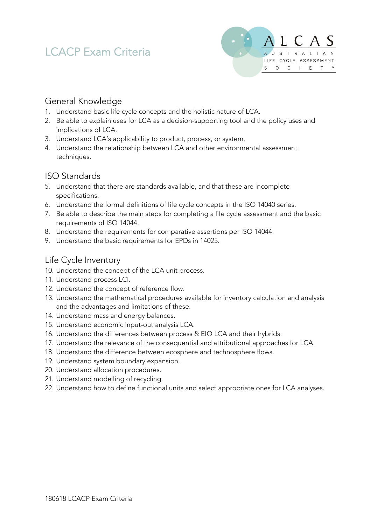# LCACP Exam Criteria



# General Knowledge

- 1. Understand basic life cycle concepts and the holistic nature of LCA.
- 2. Be able to explain uses for LCA as a decision-supporting tool and the policy uses and implications of LCA.
- 3. Understand LCA's applicability to product, process, or system.
- 4. Understand the relationship between LCA and other environmental assessment techniques.

# ISO Standards

- 5. Understand that there are standards available, and that these are incomplete specifications.
- 6. Understand the formal definitions of life cycle concepts in the ISO 14040 series.
- 7. Be able to describe the main steps for completing a life cycle assessment and the basic requirements of ISO 14044.
- 8. Understand the requirements for comparative assertions per ISO 14044.
- 9. Understand the basic requirements for EPDs in 14025.

# Life Cycle Inventory

- 10. Understand the concept of the LCA unit process.
- 11. Understand process LCI.
- 12. Understand the concept of reference flow.
- 13. Understand the mathematical procedures available for inventory calculation and analysis and the advantages and limitations of these.
- 14. Understand mass and energy balances.
- 15. Understand economic input-out analysis LCA.
- 16. Understand the differences between process & EIO LCA and their hybrids.
- 17. Understand the relevance of the consequential and attributional approaches for LCA.
- 18. Understand the difference between ecosphere and technosphere flows.
- 19. Understand system boundary expansion.
- 20. Understand allocation procedures.
- 21. Understand modelling of recycling.
- 22. Understand how to define functional units and select appropriate ones for LCA analyses.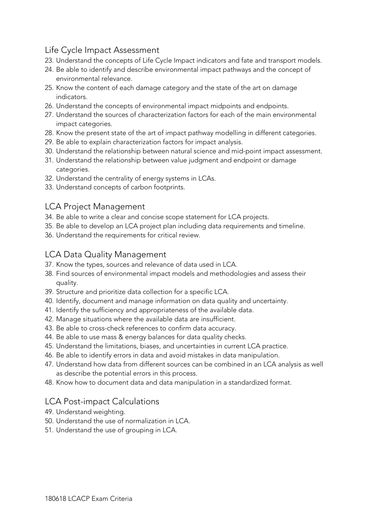## Life Cycle Impact Assessment

- 23. Understand the concepts of Life Cycle Impact indicators and fate and transport models.
- 24. Be able to identify and describe environmental impact pathways and the concept of environmental relevance.
- 25. Know the content of each damage category and the state of the art on damage indicators.
- 26. Understand the concepts of environmental impact midpoints and endpoints.
- 27. Understand the sources of characterization factors for each of the main environmental impact categories.
- 28. Know the present state of the art of impact pathway modelling in different categories.
- 29. Be able to explain characterization factors for impact analysis.
- 30. Understand the relationship between natural science and mid-point impact assessment.
- 31. Understand the relationship between value judgment and endpoint or damage categories.
- 32. Understand the centrality of energy systems in LCAs.
- 33. Understand concepts of carbon footprints.

#### LCA Project Management

- 34. Be able to write a clear and concise scope statement for LCA projects.
- 35. Be able to develop an LCA project plan including data requirements and timeline.
- 36. Understand the requirements for critical review.

#### LCA Data Quality Management

- 37. Know the types, sources and relevance of data used in LCA.
- 38. Find sources of environmental impact models and methodologies and assess their quality.
- 39. Structure and prioritize data collection for a specific LCA.
- 40. Identify, document and manage information on data quality and uncertainty.
- 41. Identify the sufficiency and appropriateness of the available data.
- 42. Manage situations where the available data are insufficient.
- 43. Be able to cross-check references to confirm data accuracy.
- 44. Be able to use mass & energy balances for data quality checks.
- 45. Understand the limitations, biases, and uncertainties in current LCA practice.
- 46. Be able to identify errors in data and avoid mistakes in data manipulation.
- 47. Understand how data from different sources can be combined in an LCA analysis as well as describe the potential errors in this process.
- 48. Know how to document data and data manipulation in a standardized format.

## LCA Post-impact Calculations

- 49. Understand weighting.
- 50. Understand the use of normalization in LCA.
- 51. Understand the use of grouping in LCA.